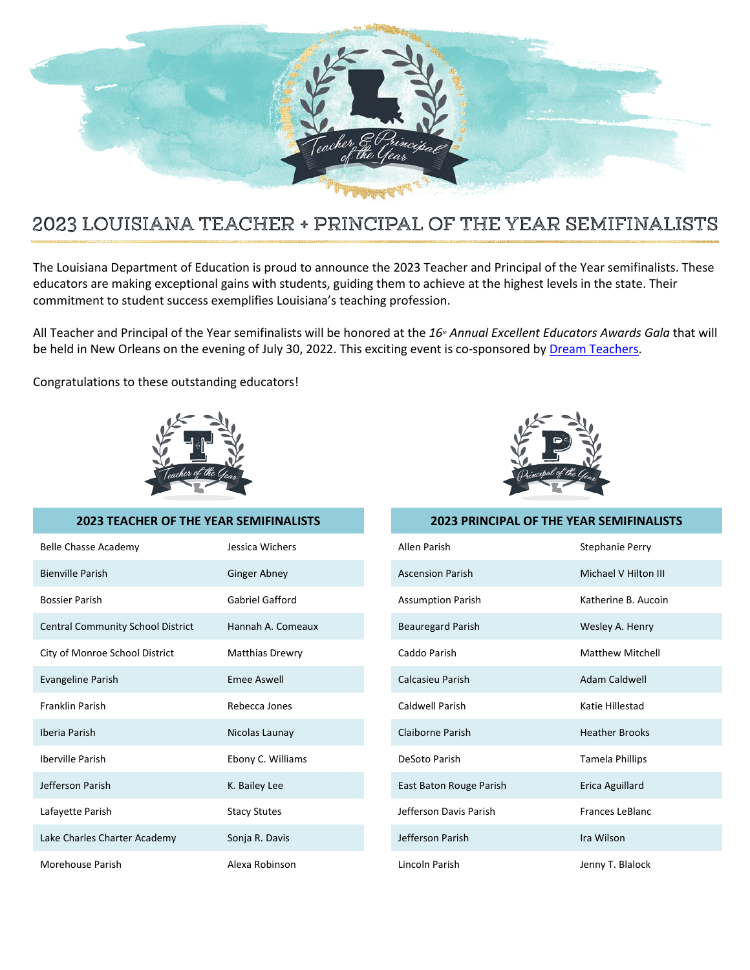

## 2023 LOUISIANA TEACHER + PRINCIPAL OF THE YEAR SEMIFINALISTS

The Louisiana Department of Education is proud to announce the 2023 Teacher and Principal of the Year semifinalists. These educators are making exceptional gains with students, guiding them to achieve at the highest levels in the state. Their commitment to student success exemplifies Louisiana's teaching profession.

All Teacher and Principal of the Year semifinalists will be honored at the 16<sup>th</sup> Annual Excellent Educators Awards Gala that will be held in New Orleans on the evening of July 30, 2022. This exciting event is co-sponsored by Dream Teachers.

Congratulations to these outstanding educators!



## **2023 TEACHER OF THE YEAR SEMIFINALISTS 2023 PRINCIPAL OF THE YEAR SEMIFINALISTS**

| Belle Chasse Academy                     | Jessica Wichers        | Allen Parish             | Stephanie Perry         |
|------------------------------------------|------------------------|--------------------------|-------------------------|
| <b>Bienville Parish</b>                  | <b>Ginger Abney</b>    | <b>Ascension Parish</b>  | Michael V Hilton III    |
| <b>Bossier Parish</b>                    | <b>Gabriel Gafford</b> | <b>Assumption Parish</b> | Katherine B. Aucoin     |
| <b>Central Community School District</b> | Hannah A. Comeaux      | <b>Beauregard Parish</b> | Wesley A. Henry         |
| City of Monroe School District           | <b>Matthias Drewry</b> | Caddo Parish             | <b>Matthew Mitchell</b> |
| Evangeline Parish                        | <b>Emee Aswell</b>     | Calcasieu Parish         | Adam Caldwell           |
| <b>Franklin Parish</b>                   | Rebecca Jones          | Caldwell Parish          | Katie Hillestad         |
| Iberia Parish                            | Nicolas Launay         | Claiborne Parish         | <b>Heather Brooks</b>   |
| <b>Iberville Parish</b>                  | Ebony C. Williams      | DeSoto Parish            | Tamela Phillips         |
| Jefferson Parish                         | K. Bailey Lee          | East Baton Rouge Parish  | Erica Aguillard         |
| Lafayette Parish                         | <b>Stacy Stutes</b>    | Jefferson Davis Parish   | <b>Frances LeBlanc</b>  |
| Lake Charles Charter Academy             | Sonja R. Davis         | Jefferson Parish         | Ira Wilson              |
| Morehouse Parish                         | Alexa Robinson         | Lincoln Parish           | Jenny T. Blalock        |

| Allen Parish             | Stephanie Perry         |  |  |
|--------------------------|-------------------------|--|--|
| <b>Ascension Parish</b>  | Michael V Hilton III    |  |  |
| <b>Assumption Parish</b> | Katherine B. Aucoin     |  |  |
| Beauregard Parish        | Wesley A. Henry         |  |  |
| Caddo Parish             | <b>Matthew Mitchell</b> |  |  |
| Calcasieu Parish         | <b>Adam Caldwell</b>    |  |  |
| Caldwell Parish          | Katie Hillestad         |  |  |
| Claiborne Parish         | <b>Heather Brooks</b>   |  |  |
| DeSoto Parish            | <b>Tamela Phillips</b>  |  |  |
| East Baton Rouge Parish  | Erica Aguillard         |  |  |
| Jefferson Davis Parish   | <b>Frances LeBlanc</b>  |  |  |
| Jefferson Parish         | Ira Wilson              |  |  |
| Lincoln Parish           | Jenny T. Blalock        |  |  |